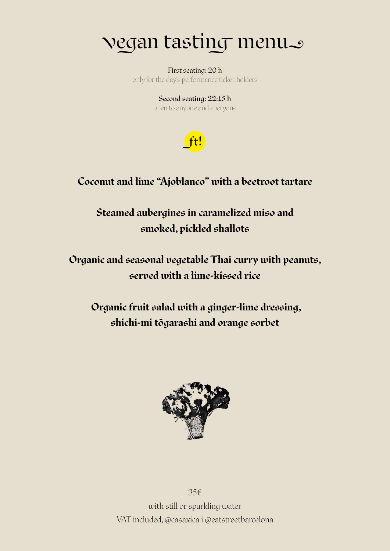### vegan tastin� menu

farm'to the day's performance ticket-holders and the farm'to'table farm'to'table farm'to'table farm'to'table f<br>'table farm'to'table farm'to'table farm'to'table farm'to'table farm'to'table farm'to'table farm'to'table farm' First seating: 20 h only for the day's performance ticket-holders

Second seating: 22:15 h open to anyone and everyone



#### **Coconut and lime "Ajoblanco" with a beetroot tartare**

**Steamed aubergines in caramelized miso and smoked, pickled shallots**

**Organic and seasonal vegetable Thai curry with peanuts, served with a lime-kissed rice**

 **Organic fruit salad with a ginger-lime dressing, shichi-mi tōgarashi and orange sorbet**



35€ with still or sparkling water VAT included, @casaxica i @eatstreetbarcelona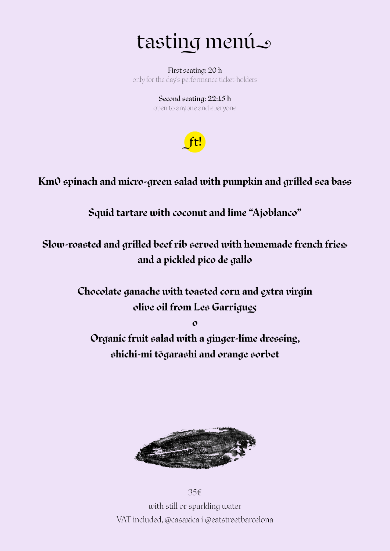## tasting menú

only for the day's performance ticket-holders First seating: 20 h

Second seating: 22:15 h open to anyone and everyone



**Km0 spinach and micro-green salad with pumpkin and grilled sea bass**

**Squid tartare with coconut and lime "Ajoblanco"**

**Slow-roasted and grilled beef rib served with homemade french fries and a pickled pico de gallo**

> **Chocolate ganache with toasted corn and extra virgin olive oil from Les Garrigues**

> > **o**

**Organic fruit salad with a ginger-lime dressing, shichi-mi tōgarashi and orange sorbet**



35€ with still or sparkling water VAT included, @casaxica i @eatstreetbarcelona